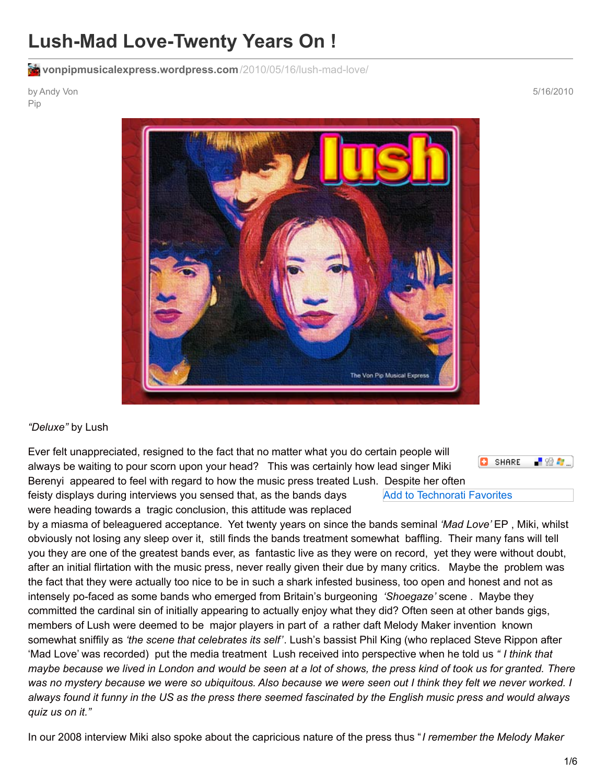# **Lush-Mad Love-Twenty Years On !**

**[vonpipmusicalexpress.wordpress.com](https://vonpipmusicalexpress.wordpress.com/2010/05/16/lush-mad-love/)**/2010/05/16/lush-mad-love/

by Andy Von Pip

5/16/2010



#### *"Deluxe"* by Lush

Ever felt unappreciated, resigned to the fact that no matter what you do certain people will always be waiting to pour scorn upon your head? This was certainly how lead singer Miki Berenyi appeared to feel with regard to how the music press treated Lush. Despite her often

SHARE -99

feisty displays during interviews you sensed that, as the bands days were heading towards a tragic conclusion, this attitude was replaced

Add to Technorati Favorites

by a miasma of beleaguered acceptance. Yet twenty years on since the bands seminal *'Mad Love'* EP , Miki, whilst obviously not losing any sleep over it, still finds the bands treatment somewhat baffling. Their many fans will tell you they are one of the greatest bands ever, as fantastic live as they were on record, yet they were without doubt, after an initial flirtation with the music press, never really given their due by many critics. Maybe the problem was the fact that they were actually too nice to be in such a shark infested business, too open and honest and not as intensely po-faced as some bands who emerged from Britain's burgeoning *'Shoegaze'* scene . Maybe they committed the cardinal sin of initially appearing to actually enjoy what they did? Often seen at other bands gigs, members of Lush were deemed to be major players in part of a rather daft Melody Maker invention known somewhat sniffily as *'the scene that celebrates its self'*. Lush's bassist Phil King (who replaced Steve Rippon after 'Mad Love' was recorded) put the media treatment Lush received into perspective when he told us *" I think that* maybe because we lived in London and would be seen at a lot of shows, the press kind of took us for granted. There was no mystery because we were so ubiquitous. Also because we were seen out I think they felt we never worked. I always found it funny in the US as the press there seemed fascinated by the English music press and would always *quiz us on it."*

In our 2008 interview Miki also spoke about the capricious nature of the press thus "*I remember the Melody Maker*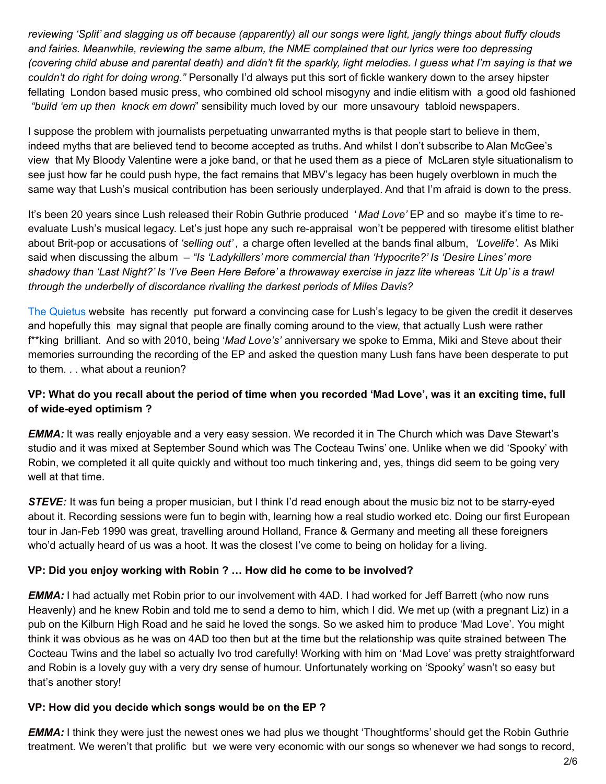reviewing 'Split' and slagging us off because (apparently) all our songs were light, jangly things about fluffy clouds *and fairies. Meanwhile, reviewing the same album, the NME complained that our lyrics were too depressing* (covering child abuse and parental death) and didn't fit the sparkly, light melodies. I guess what I'm saying is that we *couldn't do right for doing wrong."* Personally I'd always put this sort of fickle wankery down to the arsey hipster fellating London based music press, who combined old school misogyny and indie elitism with a good old fashioned *"build 'em up then knock em down*" sensibility much loved by our more unsavoury tabloid newspapers.

I suppose the problem with journalists perpetuating unwarranted myths is that people start to believe in them, indeed myths that are believed tend to become accepted as truths. And whilst I don't subscribe to Alan McGee's view that My Bloody Valentine were a joke band, or that he used them as a piece of McLaren style situationalism to see just how far he could push hype, the fact remains that MBV's legacy has been hugely overblown in much the same way that Lush's musical contribution has been seriously underplayed. And that I'm afraid is down to the press.

It's been 20 years since Lush released their Robin Guthrie produced ' *Mad Love'* EP and so maybe it's time to reevaluate Lush's musical legacy. Let's just hope any such re-appraisal won't be peppered with tiresome elitist blather about Brit-pop or accusations of *'selling out' ,* a charge often levelled at the bands final album, *'Lovelife'*. As Miki said when discussing the album – *"Is 'Ladykillers' more commercial than 'Hypocrite?' Is 'Desire Lines' more* shadowy than 'Last Night?' Is 'I've Been Here Before' a throwaway exercise in jazz lite whereas 'Lit Up' is a trawl *through the underbelly of discordance rivalling the darkest periods of Miles Davis?*

The [Quietus](http://thequietus.com/articles/04017-lush-interview-mad-love-20th-anniversary) website has recently put forward a convincing case for Lush's legacy to be given the credit it deserves and hopefully this may signal that people are finally coming around to the view, that actually Lush were rather f\*\*king brilliant. And so with 2010, being '*Mad Love's'* anniversary we spoke to Emma, Miki and Steve about their memories surrounding the recording of the EP and asked the question many Lush fans have been desperate to put to them. . . what about a reunion?

## VP: What do you recall about the period of time when you recorded 'Mad Love', was it an exciting time, full **of wide-eyed optimism ?**

*EMMA:* It was really enjoyable and a very easy session. We recorded it in The Church which was Dave Stewart's studio and it was mixed at September Sound which was The Cocteau Twins' one. Unlike when we did 'Spooky' with Robin, we completed it all quite quickly and without too much tinkering and, yes, things did seem to be going very well at that time.

*STEVE:* It was fun being a proper musician, but I think I'd read enough about the music biz not to be starry-eyed about it. Recording sessions were fun to begin with, learning how a real studio worked etc. Doing our first European tour in Jan-Feb 1990 was great, travelling around Holland, France & Germany and meeting all these foreigners who'd actually heard of us was a hoot. It was the closest I've come to being on holiday for a living.

## **VP: Did you enjoy working with Robin ? … How did he come to be involved?**

*EMMA:* I had actually met Robin prior to our involvement with 4AD. I had worked for Jeff Barrett (who now runs Heavenly) and he knew Robin and told me to send a demo to him, which I did. We met up (with a pregnant Liz) in a pub on the Kilburn High Road and he said he loved the songs. So we asked him to produce 'Mad Love'. You might think it was obvious as he was on 4AD too then but at the time but the relationship was quite strained between The Cocteau Twins and the label so actually Ivo trod carefully! Working with him on 'Mad Love' was pretty straightforward and Robin is a lovely guy with a very dry sense of humour. Unfortunately working on 'Spooky' wasn't so easy but that's another story!

## **VP: How did you decide which songs would be on the EP ?**

*EMMA:* I think they were just the newest ones we had plus we thought 'Thoughtforms' should get the Robin Guthrie treatment. We weren't that prolific but we were very economic with our songs so whenever we had songs to record,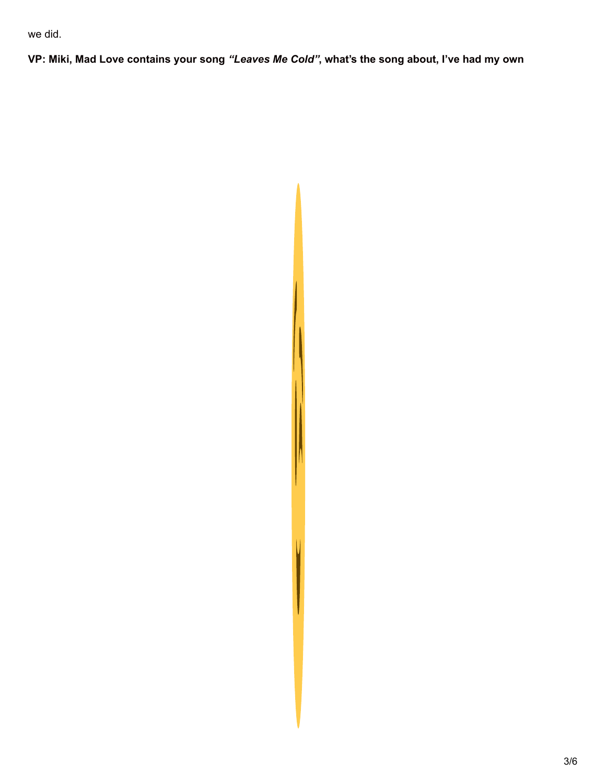we did.

VP: Miki, Mad Love contains your song "Leaves Me Cold", what's the song about, I've had my own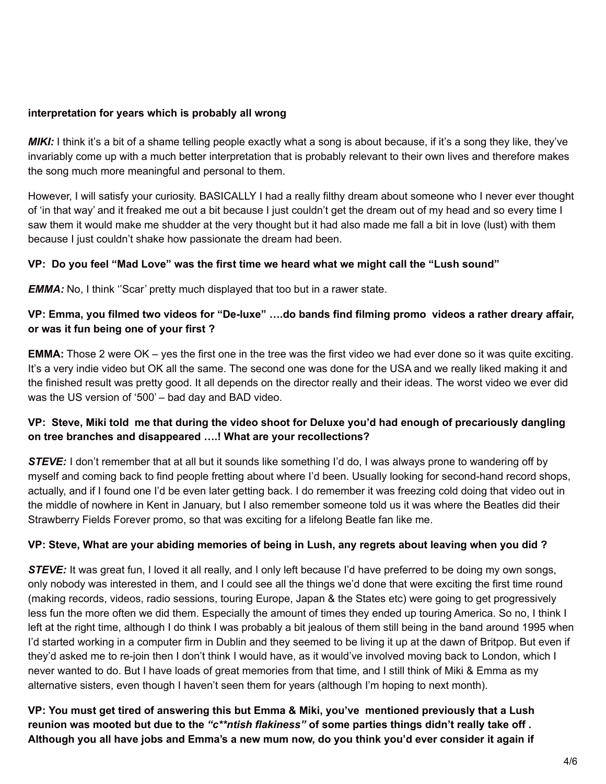#### **interpretation for years which is probably all wrong**

*MIKI:* I think it's a bit of a shame telling people exactly what a song is about because, if it's a song they like, they've invariably come up with a much better interpretation that is probably relevant to their own lives and therefore makes the song much more meaningful and personal to them.

However, I will satisfy your curiosity. BASICALLY I had a really filthy dream about someone who I never ever thought of 'in that way' and it freaked me out a bit because I just couldn't get the dream out of my head and so every time I saw them it would make me shudder at the very thought but it had also made me fall a bit in love (lust) with them because I just couldn't shake how passionate the dream had been.

## **VP: Do you feel "Mad Love" was the first time we heard what we might call the "Lush sound"**

*EMMA:* No, I think ''Scar' pretty much displayed that too but in a rawer state.

#### VP: Emma, you filmed two videos for "De-luxe" ....do bands find filming promo videos a rather dreary affair, **or was it fun being one of your first ?**

**EMMA:** Those 2 were OK – yes the first one in the tree was the first video we had ever done so it was quite exciting. It's a very indie video but OK all the same. The second one was done for the USA and we really liked making it and the finished result was pretty good. It all depends on the director really and their ideas. The worst video we ever did was the US version of '500' – bad day and BAD video.

## VP: Steve, Miki told me that during the video shoot for Deluxe you'd had enough of precariously dangling **on tree branches and disappeared ….! What are your recollections?**

*STEVE:* I don't remember that at all but it sounds like something I'd do, I was always prone to wandering off by myself and coming back to find people fretting about where I'd been. Usually looking for second-hand record shops, actually, and if I found one I'd be even later getting back. I do remember it was freezing cold doing that video out in the middle of nowhere in Kent in January, but I also remember someone told us it was where the Beatles did their Strawberry Fields Forever promo, so that was exciting for a lifelong Beatle fan like me.

#### VP: Steve, What are your abiding memories of being in Lush, any regrets about leaving when you did?

*STEVE:* It was great fun, I loved it all really, and I only left because I'd have preferred to be doing my own songs, only nobody was interested in them, and I could see all the things we'd done that were exciting the first time round (making records, videos, radio sessions, touring Europe, Japan & the States etc) were going to get progressively less fun the more often we did them. Especially the amount of times they ended up touring America. So no, I think I left at the right time, although I do think I was probably a bit jealous of them still being in the band around 1995 when I'd started working in a computer firm in Dublin and they seemed to be living it up at the dawn of Britpop. But even if they'd asked me to re-join then I don't think I would have, as it would've involved moving back to London, which I never wanted to do. But I have loads of great memories from that time, and I still think of Miki & Emma as my alternative sisters, even though I haven't seen them for years (although I'm hoping to next month).

**VP: You must get tired of answering this but Emma & Miki, you've mentioned previously that a Lush** reunion was mooted but due to the "c\*\*ntish flakiness" of some parties things didn't really take off. Although you all have jobs and Emma's a new mum now, do you think you'd ever consider it again if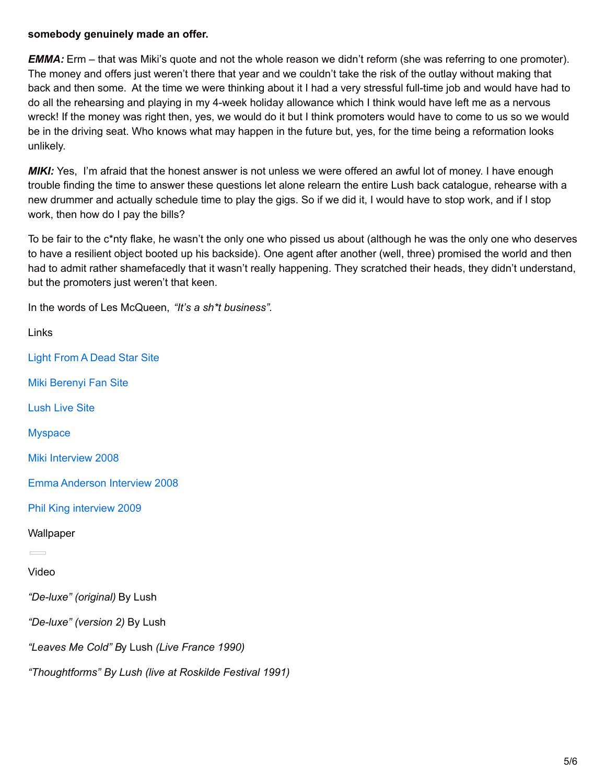#### **somebody genuinely made an offer.**

*EMMA:* Erm – that was Miki's quote and not the whole reason we didn't reform (she was referring to one promoter). The money and offers just weren't there that year and we couldn't take the risk of the outlay without making that back and then some. At the time we were thinking about it I had a very stressful full-time job and would have had to do all the rehearsing and playing in my 4-week holiday allowance which I think would have left me as a nervous wreck! If the money was right then, yes, we would do it but I think promoters would have to come to us so we would be in the driving seat. Who knows what may happen in the future but, yes, for the time being a reformation looks unlikely.

*MIKI:* Yes, I'm afraid that the honest answer is not unless we were offered an awful lot of money. I have enough trouble finding the time to answer these questions let alone relearn the entire Lush back catalogue, rehearse with a new drummer and actually schedule time to play the gigs. So if we did it, I would have to stop work, and if I stop work, then how do I pay the bills?

To be fair to the c\*nty flake, he wasn't the only one who pissed us about (although he was the only one who deserves to have a resilient object booted up his backside). One agent after another (well, three) promised the world and then had to admit rather shamefacedly that it wasn't really happening. They scratched their heads, they didn't understand, but the promoters just weren't that keen.

In the words of Les McQueen, *"It's a sh\*t business".*

Links Light From A [Dead](http://www.lightfromadeadstar.org/) Star Site Miki [Berenyi](http://www.freewebs.com/mikiberenyi/index.html) Fan Site [Lush](http://www.lushlive.com/) Live Site **[Myspace](http://www.myspace.com/lush4ad)** Miki [Interview](https://vonpipmusicalexpress.wordpress.com/2008/01/25/sweetness-and-light-the-miki-berenyi-interview-2008/) 2008 Emma [Anderson](https://vonpipmusicalexpress.wordpress.com/2008/06/20/lit-up-emma-anderson-interview/) Interview 2008 Phil King [interview](https://vonpipmusicalexpress.wordpress.com/2008/07/03/ace-of-bass-phil-king-interview/) 2009 **Wallpaper**  $\sim$ Video *"De-luxe" (original)* By Lush *"De-luxe" (version 2)* By Lush *"Leaves Me Cold" B*y Lush *(Live France 1990) "Thoughtforms" By Lush (live at Roskilde Festival 1991)*